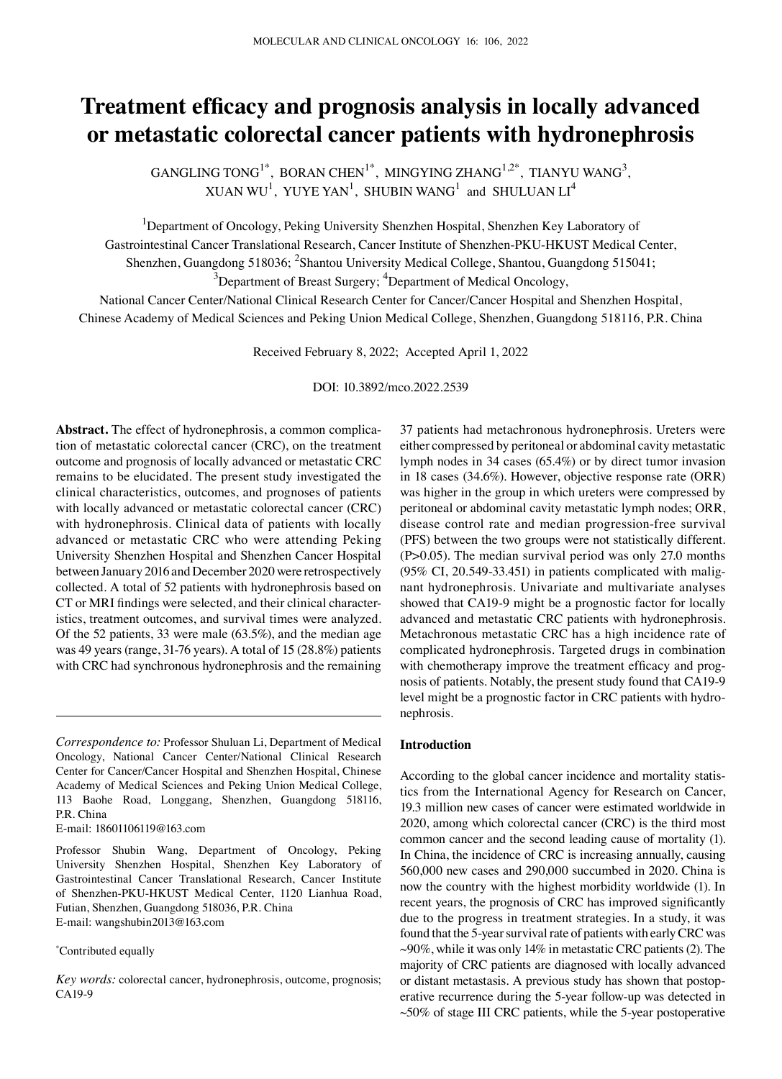# **Treatment efficacy and prognosis analysis in locally advanced or metastatic colorectal cancer patients with hydronephrosis**

GANGLING TONG<sup>1\*</sup>, BORAN CHEN<sup>1\*</sup>, MINGYING ZHANG<sup>1,2\*</sup>, TIANYU WANG<sup>3</sup>, XUAN WU<sup>1</sup>, YUYE YAN<sup>1</sup>, SHUBIN WANG<sup>1</sup> and SHULUAN LI<sup>4</sup>

<sup>1</sup>Department of Oncology, Peking University Shenzhen Hospital, Shenzhen Key Laboratory of Gastrointestinal Cancer Translational Research, Cancer Institute of Shenzhen-PKU-HKUST Medical Center, Shenzhen, Guangdong 518036; <sup>2</sup>Shantou University Medical College, Shantou, Guangdong 515041;  $^3$ Department of Breast Surgery;  $^4$ Department of Medical Oncology,

National Cancer Center/National Clinical Research Center for Cancer/Cancer Hospital and Shenzhen Hospital, Chinese Academy of Medical Sciences and Peking Union Medical College, Shenzhen, Guangdong 518116, P.R. China

Received February 8, 2022; Accepted April 1, 2022

DOI: 10.3892/mco.2022.2539

Abstract. The effect of hydronephrosis, a common complication of metastatic colorectal cancer (CRC), on the treatment outcome and prognosis of locally advanced or metastatic CRC remains to be elucidated. The present study investigated the clinical characteristics, outcomes, and prognoses of patients with locally advanced or metastatic colorectal cancer (CRC) with hydronephrosis. Clinical data of patients with locally advanced or metastatic CRC who were attending Peking University Shenzhen Hospital and Shenzhen Cancer Hospital between January 2016 and December 2020 were retrospectively collected. A total of 52 patients with hydronephrosis based on CT or MRI findings were selected, and their clinical characteristics, treatment outcomes, and survival times were analyzed. Of the 52 patients, 33 were male (63.5%), and the median age was 49 years (range, 31‑76 years). A total of 15 (28.8%) patients with CRC had synchronous hydronephrosis and the remaining

E‑mail: 18601106119@163.com

Professor Shubin Wang, Department of Oncology, Peking University Shenzhen Hospital, Shenzhen Key Laboratory of Gastrointestinal Cancer Translational Research, Cancer Institute of Shenzhen‑PKU‑HKUST Medical Center, 1120 Lianhua Road, Futian, Shenzhen, Guangdong 518036, P.R. China E‑mail: wangshubin2013@163.com

### \* Contributed equally

37 patients had metachronous hydronephrosis. Ureters were either compressed by peritoneal or abdominal cavity metastatic lymph nodes in 34 cases (65.4%) or by direct tumor invasion in 18 cases (34.6%). However, objective response rate (ORR) was higher in the group in which ureters were compressed by peritoneal or abdominal cavity metastatic lymph nodes; ORR, disease control rate and median progression‑free survival (PFS) between the two groups were not statistically different. (P>0.05). The median survival period was only 27.0 months  $(95\% \text{ CI}, 20.549-33.451)$  in patients complicated with malignant hydronephrosis. Univariate and multivariate analyses showed that CA19-9 might be a prognostic factor for locally advanced and metastatic CRC patients with hydronephrosis. Metachronous metastatic CRC has a high incidence rate of complicated hydronephrosis. Targeted drugs in combination with chemotherapy improve the treatment efficacy and prognosis of patients. Notably, the present study found that CA19‑9 level might be a prognostic factor in CRC patients with hydronephrosis.

#### **Introduction**

According to the global cancer incidence and mortality statis– tics from the International Agency for Research on Cancer, 19.3 million new cases of cancer were estimated worldwide in 2020, among which colorectal cancer (CRC) is the third most common cancer and the second leading cause of mortality (1). In China, the incidence of CRC is increasing annually, causing 560,000 new cases and 290,000 succumbed in 2020. China is now the country with the highest morbidity worldwide (1). In recent years, the prognosis of CRC has improved significantly due to the progress in treatment strategies. In a study, it was found that the 5‑year survival rate of patients with early CRC was  $\sim$ 90%, while it was only 14% in metastatic CRC patients (2). The majority of CRC patients are diagnosed with locally advanced or distant metastasis. A previous study has shown that postoperative recurrence during the 5‑year follow‑up was detected in  $~50\%$  of stage III CRC patients, while the 5-year postoperative

*Correspondence to:* Professor Shuluan Li, Department of Medical Oncology, National Cancer Center/National Clinical Research Center for Cancer/Cancer Hospital and Shenzhen Hospital, Chinese Academy of Medical Sciences and Peking Union Medical College, 113 Baohe Road, Longgang, Shenzhen, Guangdong 518116, P.R. China

*Key words:* colorectal cancer, hydronephrosis, outcome, prognosis; CA19-9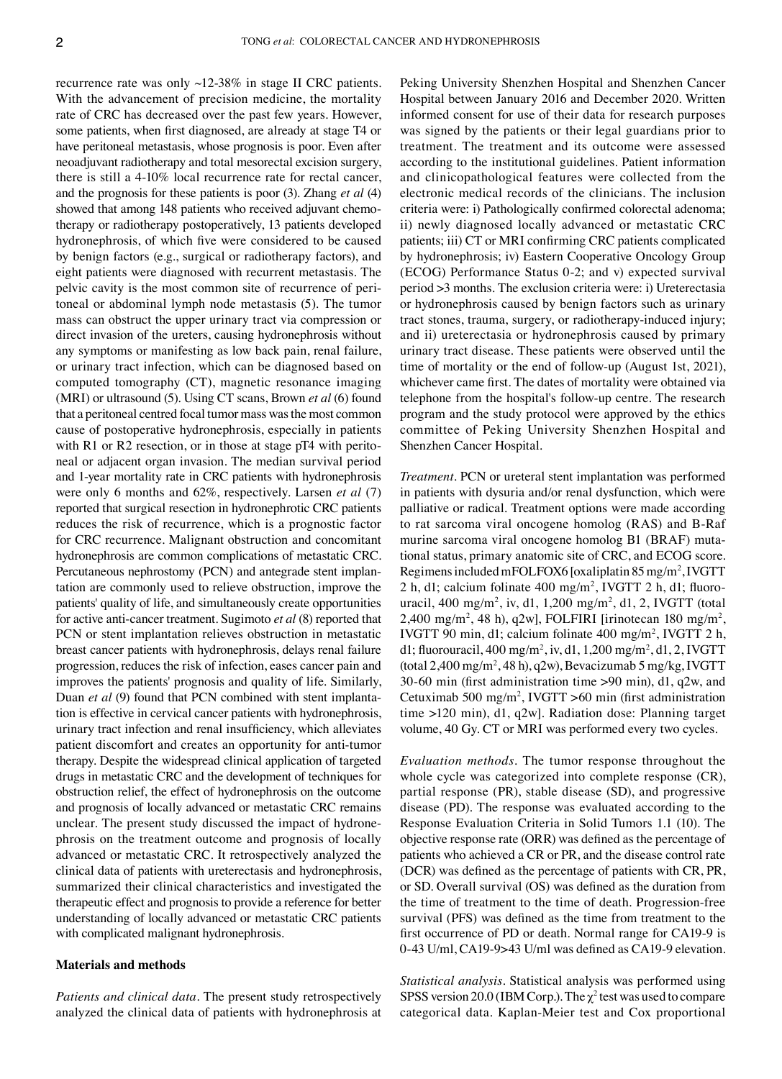recurrence rate was only ~12‑38% in stage II CRC patients. With the advancement of precision medicine, the mortality rate of CRC has decreased over the past few years. However, some patients, when first diagnosed, are already at stage T4 or have peritoneal metastasis, whose prognosis is poor. Even after neoadjuvant radiotherapy and total mesorectal excision surgery, there is still a 4‑10% local recurrence rate for rectal cancer, and the prognosis for these patients is poor (3). Zhang *et al* (4) showed that among 148 patients who received adjuvant chemotherapy or radiotherapy postoperatively, 13 patients developed hydronephrosis, of which five were considered to be caused by benign factors (e.g., surgical or radiotherapy factors), and eight patients were diagnosed with recurrent metastasis. The pelvic cavity is the most common site of recurrence of peritoneal or abdominal lymph node metastasis (5). The tumor mass can obstruct the upper urinary tract via compression or direct invasion of the ureters, causing hydronephrosis without any symptoms or manifesting as low back pain, renal failure, or urinary tract infection, which can be diagnosed based on computed tomography (CT), magnetic resonance imaging (MRI) or ultrasound (5). Using CT scans, Brown *et al* (6) found that a peritoneal centred focal tumor mass was the most common cause of postoperative hydronephrosis, especially in patients with R1 or R2 resection, or in those at stage  $pT4$  with peritoneal or adjacent organ invasion. The median survival period and 1‑year mortality rate in CRC patients with hydronephrosis were only 6 months and 62%, respectively. Larsen *et al* (7) reported that surgical resection in hydronephrotic CRC patients reduces the risk of recurrence, which is a prognostic factor for CRC recurrence. Malignant obstruction and concomitant hydronephrosis are common complications of metastatic CRC. Percutaneous nephrostomy (PCN) and antegrade stent implantation are commonly used to relieve obstruction, improve the patients' quality of life, and simultaneously create opportunities for active anti‑cancer treatment. Sugimoto *et al* (8) reported that PCN or stent implantation relieves obstruction in metastatic breast cancer patients with hydronephrosis, delays renal failure progression, reduces the risk of infection, eases cancer pain and improves the patients' prognosis and quality of life. Similarly, Duan *et al* (9) found that PCN combined with stent implantation is effective in cervical cancer patients with hydronephrosis, urinary tract infection and renal insufficiency, which alleviates patient discomfort and creates an opportunity for anti-tumor therapy. Despite the widespread clinical application of targeted drugs in metastatic CRC and the development of techniques for obstruction relief, the effect of hydronephrosis on the outcome and prognosis of locally advanced or metastatic CRC remains unclear. The present study discussed the impact of hydronephrosis on the treatment outcome and prognosis of locally advanced or metastatic CRC. It retrospectively analyzed the clinical data of patients with ureterectasis and hydronephrosis, summarized their clinical characteristics and investigated the therapeutic effect and prognosis to provide a reference for better understanding of locally advanced or metastatic CRC patients with complicated malignant hydronephrosis.

#### **Materials and methods**

*Patients and clinical data.* The present study retrospectively analyzed the clinical data of patients with hydronephrosis at Peking University Shenzhen Hospital and Shenzhen Cancer Hospital between January 2016 and December 2020. Written informed consent for use of their data for research purposes was signed by the patients or their legal guardians prior to treatment. The treatment and its outcome were assessed according to the institutional guidelines. Patient information and clinicopathological features were collected from the electronic medical records of the clinicians. The inclusion criteria were: i) Pathologically confirmed colorectal adenoma; ii) newly diagnosed locally advanced or metastatic CRC patients; iii) CT or MRI confirming CRC patients complicated by hydronephrosis; iv) Eastern Cooperative Oncology Group (ECOG) Performance Status 0‑2; and v) expected survival period >3 months. The exclusion criteria were: i) Ureterectasia or hydronephrosis caused by benign factors such as urinary tract stones, trauma, surgery, or radiotherapy‑induced injury; and ii) ureterectasia or hydronephrosis caused by primary urinary tract disease. These patients were observed until the time of mortality or the end of follow‑up (August 1st, 2021), whichever came first. The dates of mortality were obtained via telephone from the hospital's follow‑up centre. The research program and the study protocol were approved by the ethics committee of Peking University Shenzhen Hospital and Shenzhen Cancer Hospital.

*Treatment.* PCN or ureteral stent implantation was performed in patients with dysuria and/or renal dysfunction, which were palliative or radical. Treatment options were made according to rat sarcoma viral oncogene homolog (RAS) and B‑Raf murine sarcoma viral oncogene homolog B1 (BRAF) mutational status, primary anatomic site of CRC, and ECOG score. Regimens included mFOLFOX6 [oxaliplatin 85mg/m2 , IVGTT 2 h, d1; calcium folinate 400 mg/m<sup>2</sup>, IVGTT 2 h, d1; fluorouracil, 400 mg/m2 , iv, d1, 1,200 mg/m2 , d1, 2, IVGTT (total  $2,400 \text{ mg/m}^2$ , 48 h), q2w], FOLFIRI [irinotecan 180 mg/m<sup>2</sup>, IVGTT 90 min, d1; calcium folinate 400 mg/m2 , IVGTT 2 h, d1; fluorouracil,  $400 \text{ mg/m}^2$ , iv, d1,  $1,200 \text{ mg/m}^2$ , d1,  $2,1\text{VGTT}$  $(t$ otal 2,400 mg/m<sup>2</sup>,48 h), q2w), Bevacizumab 5 mg/kg, IVGTT 30‑60 min (first administration time >90 min), d1, q2w, and Cetuximab 500 mg/m<sup>2</sup>, IVGTT >60 min (first administration time >120 min), d1, q2w]. Radiation dose: Planning target volume, 40 Gy. CT or MRI was performed every two cycles.

*Evaluation methods.* The tumor response throughout the whole cycle was categorized into complete response (CR), partial response (PR), stable disease (SD), and progressive disease (PD). The response was evaluated according to the Response Evaluation Criteria in Solid Tumors 1.1 (10). The objective response rate (ORR) was defined as the percentage of patients who achieved a CR or PR, and the disease control rate (DCR) was defined as the percentage of patients with CR, PR, or SD. Overall survival (OS) was defined as the duration from the time of treatment to the time of death. Progression-free survival (PFS) was defined as the time from treatment to the first occurrence of PD or death. Normal range for CA19-9 is 0‑43 U/ml, CA19‑9>43 U/ml was defined as CA19‑9 elevation.

*Statistical analysis.* Statistical analysis was performed using SPSS version 20.0 (IBM Corp.). The  $\chi^2$  test was used to compare categorical data. Kaplan‑Meier test and Cox proportional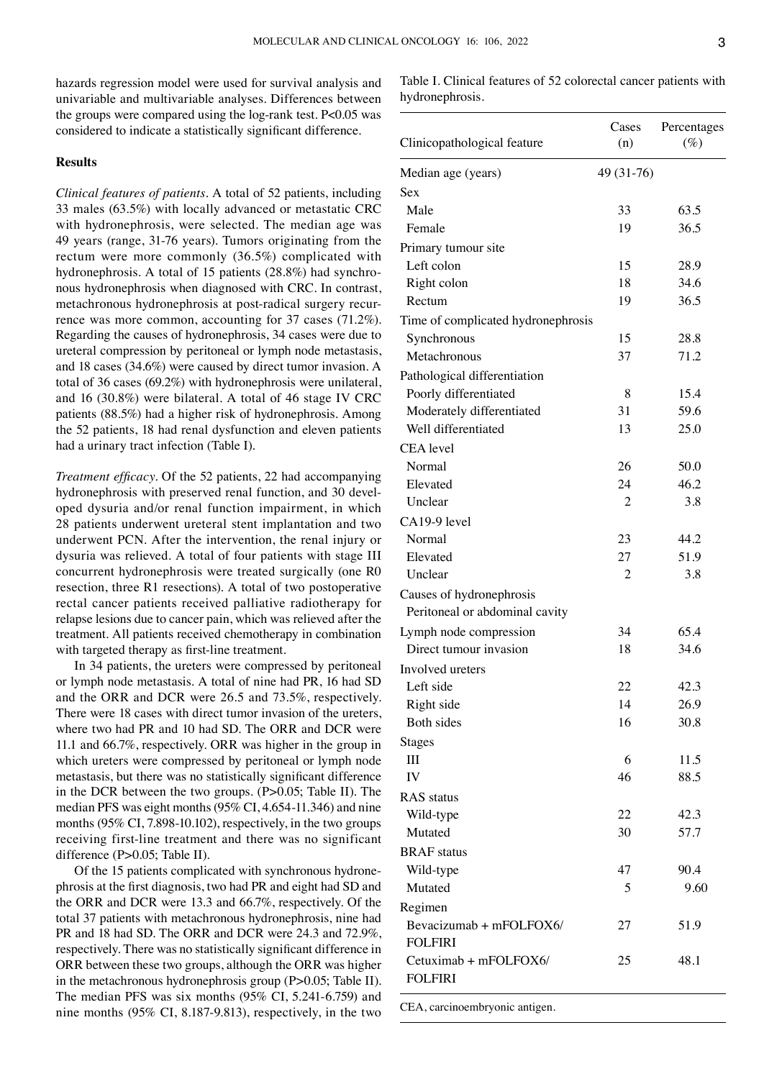hazards regression model were used for survival analysis and univariable and multivariable analyses. Differences between the groups were compared using the log-rank test.  $P<0.05$  was considered to indicate a statistically significant difference.

### **Results**

*Clinical features of patients.* A total of 52 patients, including 33 males (63.5%) with locally advanced or metastatic CRC with hydronephrosis, were selected. The median age was 49 years (range, 31‑76 years). Tumors originating from the rectum were more commonly (36.5%) complicated with hydronephrosis. A total of 15 patients (28.8%) had synchronous hydronephrosis when diagnosed with CRC. In contrast, metachronous hydronephrosis at post-radical surgery recurrence was more common, accounting for 37 cases (71.2%). Regarding the causes of hydronephrosis, 34 cases were due to ureteral compression by peritoneal or lymph node metastasis, and 18 cases (34.6%) were caused by direct tumor invasion. A total of 36 cases (69.2%) with hydronephrosis were unilateral, and 16 (30.8%) were bilateral. A total of 46 stage IV CRC patients (88.5%) had a higher risk of hydronephrosis. Among the 52 patients, 18 had renal dysfunction and eleven patients had a urinary tract infection (Table I).

*Treatment efficacy.* Of the 52 patients, 22 had accompanying hydronephrosis with preserved renal function, and 30 developed dysuria and/or renal function impairment, in which 28 patients underwent ureteral stent implantation and two underwent PCN. After the intervention, the renal injury or dysuria was relieved. A total of four patients with stage III concurrent hydronephrosis were treated surgically (one R0 resection, three R1 resections). A total of two postoperative rectal cancer patients received palliative radiotherapy for relapse lesions due to cancer pain, which was relieved after the treatment. All patients received chemotherapy in combination with targeted therapy as first-line treatment.

In 34 patients, the ureters were compressed by peritoneal or lymph node metastasis. A total of nine had PR, 16 had SD and the ORR and DCR were 26.5 and 73.5%, respectively. There were 18 cases with direct tumor invasion of the ureters, where two had PR and 10 had SD. The ORR and DCR were 11.1 and 66.7%, respectively. ORR was higher in the group in which ureters were compressed by peritoneal or lymph node metastasis, but there was no statistically significant difference in the DCR between the two groups. (P>0.05; Table II). The median PFS was eight months (95% CI, 4.654‑11.346) and nine months (95% CI, 7.898-10.102), respectively, in the two groups receiving first-line treatment and there was no significant difference (P>0.05; Table II).

Of the 15 patients complicated with synchronous hydronephrosis at the first diagnosis, two had PR and eight had SD and the ORR and DCR were 13.3 and 66.7%, respectively. Of the total 37 patients with metachronous hydronephrosis, nine had PR and 18 had SD. The ORR and DCR were 24.3 and 72.9%, respectively. There was no statistically significant difference in ORR between these two groups, although the ORR was higher in the metachronous hydronephrosis group (P>0.05; Table II). The median PFS was six months (95% CI, 5.241-6.759) and nine months (95% CI, 8.187‑9.813), respectively, in the two Table I. Clinical features of 52 colorectal cancer patients with hydronephrosis.

| Clinicopathological feature        | Cases<br>(n) | Percentages<br>$(\%)$ |
|------------------------------------|--------------|-----------------------|
| Median age (years)                 | 49 (31-76)   |                       |
| Sex                                |              |                       |
| Male                               | 33           | 63.5                  |
| Female                             | 19           | 36.5                  |
| Primary tumour site                |              |                       |
| Left colon                         | 15           | 28.9                  |
| Right colon                        | 18           | 34.6                  |
| Rectum                             | 19           | 36.5                  |
| Time of complicated hydronephrosis |              |                       |
| Synchronous                        | 15           | 28.8                  |
| Metachronous                       | 37           | 71.2                  |
| Pathological differentiation       |              |                       |
| Poorly differentiated              | 8            | 15.4                  |
| Moderately differentiated          | 31           | 59.6                  |
| Well differentiated                | 13           | 25.0                  |
| <b>CEA</b> level                   |              |                       |
| Normal                             | 26           | 50.0                  |
| Elevated                           | 24           | 46.2                  |
| Unclear                            | 2            | 3.8                   |
| CA19-9 level                       |              |                       |
| Normal                             | 23           | 44.2                  |
| Elevated                           | 27           | 51.9                  |
| Unclear                            | 2            | 3.8                   |
| Causes of hydronephrosis           |              |                       |
| Peritoneal or abdominal cavity     |              |                       |
| Lymph node compression             | 34           | 65.4                  |
| Direct tumour invasion             | 18           | 34.6                  |
| Involved ureters                   |              |                       |
| Left side                          | 22           | 42.3                  |
| Right side                         | 14           | 26.9                  |
| Both sides                         | 16           | 30.8                  |
| <b>Stages</b>                      |              |                       |
| Ш                                  | 6            | 11.5                  |
| IV                                 | 46           | 88.5                  |
| <b>RAS</b> status                  |              |                       |
| Wild-type                          | 22           | 42.3                  |
| Mutated                            | 30           | 57.7                  |
| <b>BRAF</b> status                 |              |                       |
| Wild-type                          | 47           | 90.4                  |
| Mutated                            | 5            | 9.60                  |
| Regimen                            |              |                       |
| Bevacizumab + mFOLFOX6/            | 27           | 51.9                  |
| <b>FOLFIRI</b>                     |              |                       |
| Cetuximab + mFOLFOX6/              | 25           | 48.1                  |
| <b>FOLFIRI</b>                     |              |                       |

CEA, carcinoembryonic antigen.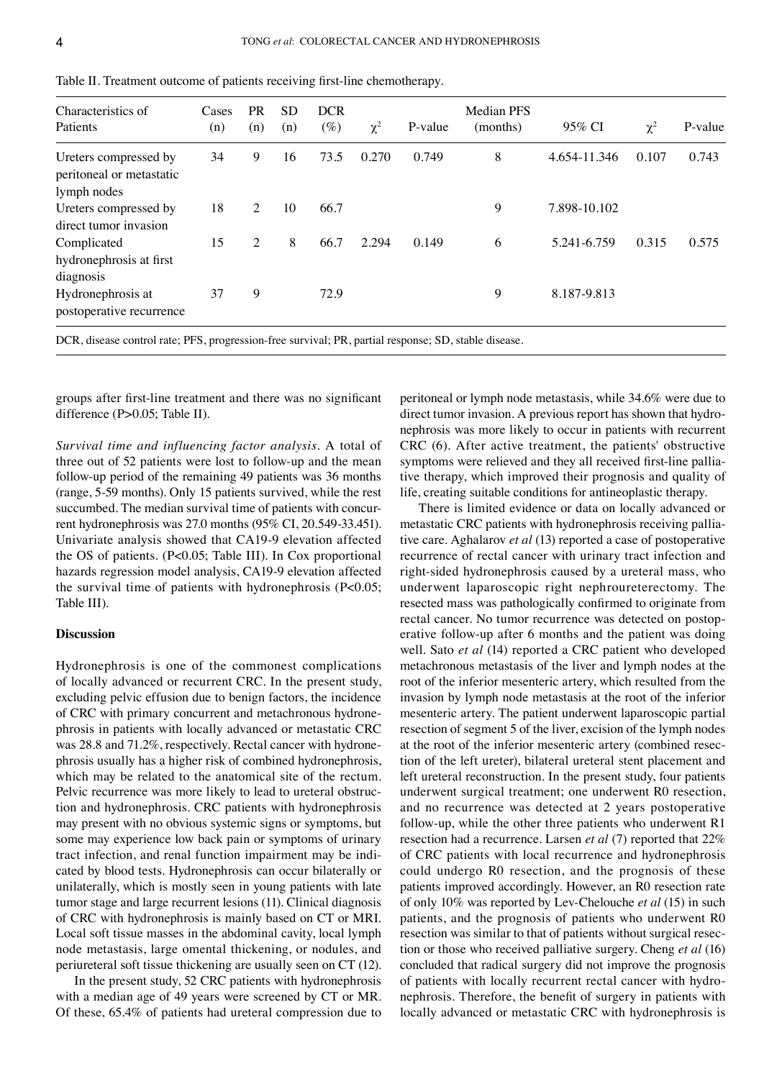| Characteristics of<br>Patients                                   | Cases<br>(n) | <b>PR</b><br>(n) | <b>SD</b><br>(n) | <b>DCR</b><br>$(\%)$ | $\chi^2$ | P-value | <b>Median PFS</b><br>(months) | 95% CI       | $\chi^2$ | P-value |
|------------------------------------------------------------------|--------------|------------------|------------------|----------------------|----------|---------|-------------------------------|--------------|----------|---------|
| Ureters compressed by<br>peritoneal or metastatic<br>lymph nodes | 34           | 9                | 16               | 73.5                 | 0.270    | 0.749   | 8                             | 4.654-11.346 | 0.107    | 0.743   |
| Ureters compressed by<br>direct tumor invasion                   | 18           | 2                | 10               | 66.7                 |          |         | 9                             | 7.898-10.102 |          |         |
| Complicated<br>hydronephrosis at first<br>diagnosis              | 15           | 2                | 8                | 66.7                 | 2.294    | 0.149   | 6                             | 5.241-6.759  | 0.315    | 0.575   |
| Hydronephrosis at<br>postoperative recurrence                    | 37           | 9                |                  | 72.9                 |          |         | 9                             | 8.187-9.813  |          |         |

Table II. Treatment outcome of patients receiving first-line chemotherapy.

DCR, disease control rate; PFS, progression-free survival; PR, partial response; SD, stable disease.

groups after first‑line treatment and there was no significant difference (P>0.05; Table II).

*Survival time and influencing factor analysis.* A total of three out of 52 patients were lost to follow‑up and the mean follow‑up period of the remaining 49 patients was 36 months (range, 5‑59 months). Only 15 patients survived, while the rest succumbed. The median survival time of patients with concurrent hydronephrosis was 27.0 months (95% CI, 20.549‑33.451). Univariate analysis showed that CA19‑9 elevation affected the OS of patients. (P<0.05; Table III). In Cox proportional hazards regression model analysis, CA19‑9 elevation affected the survival time of patients with hydronephrosis (P<0.05; Table III).

## **Discussion**

Hydronephrosis is one of the commonest complications of locally advanced or recurrent CRC. In the present study, excluding pelvic effusion due to benign factors, the incidence of CRC with primary concurrent and metachronous hydronephrosis in patients with locally advanced or metastatic CRC was 28.8 and 71.2%, respectively. Rectal cancer with hydronephrosis usually has a higher risk of combined hydronephrosis, which may be related to the anatomical site of the rectum. Pelvic recurrence was more likely to lead to ureteral obstruction and hydronephrosis. CRC patients with hydronephrosis may present with no obvious systemic signs or symptoms, but some may experience low back pain or symptoms of urinary tract infection, and renal function impairment may be indicated by blood tests. Hydronephrosis can occur bilaterally or unilaterally, which is mostly seen in young patients with late tumor stage and large recurrent lesions (11). Clinical diagnosis of CRC with hydronephrosis is mainly based on CT or MRI. Local soft tissue masses in the abdominal cavity, local lymph node metastasis, large omental thickening, or nodules, and periureteral soft tissue thickening are usually seen on CT (12).

In the present study, 52 CRC patients with hydronephrosis with a median age of 49 years were screened by CT or MR. Of these, 65.4% of patients had ureteral compression due to peritoneal or lymph node metastasis, while 34.6% were due to direct tumor invasion. A previous report has shown that hydronephrosis was more likely to occur in patients with recurrent CRC (6). After active treatment, the patients' obstructive symptoms were relieved and they all received first-line palliative therapy, which improved their prognosis and quality of life, creating suitable conditions for antineoplastic therapy.

There is limited evidence or data on locally advanced or metastatic CRC patients with hydronephrosis receiving pallia– tive care. Aghalarov *et al* (13) reported a case of postoperative recurrence of rectal cancer with urinary tract infection and right-sided hydronephrosis caused by a ureteral mass, who underwent laparoscopic right nephroureterectomy. The resected mass was pathologically confirmed to originate from rectal cancer. No tumor recurrence was detected on postoperative follow‑up after 6 months and the patient was doing well. Sato *et al* (14) reported a CRC patient who developed metachronous metastasis of the liver and lymph nodes at the root of the inferior mesenteric artery, which resulted from the invasion by lymph node metastasis at the root of the inferior mesenteric artery. The patient underwent laparoscopic partial resection of segment 5 of the liver, excision of the lymph nodes at the root of the inferior mesenteric artery (combined resection of the left ureter), bilateral ureteral stent placement and left ureteral reconstruction. In the present study, four patients underwent surgical treatment; one underwent R0 resection, and no recurrence was detected at 2 years postoperative follow‑up, while the other three patients who underwent R1 resection had a recurrence. Larsen *et al* (7) reported that 22% of CRC patients with local recurrence and hydronephrosis could undergo R0 resection, and the prognosis of these patients improved accordingly. However, an R0 resection rate of only 10% was reported by Lev‑Chelouche *et al* (15) in such patients, and the prognosis of patients who underwent R0 resection was similar to that of patients without surgical resection or those who received palliative surgery. Cheng *et al* (16) concluded that radical surgery did not improve the prognosis of patients with locally recurrent rectal cancer with hydronephrosis. Therefore, the benefit of surgery in patients with locally advanced or metastatic CRC with hydronephrosis is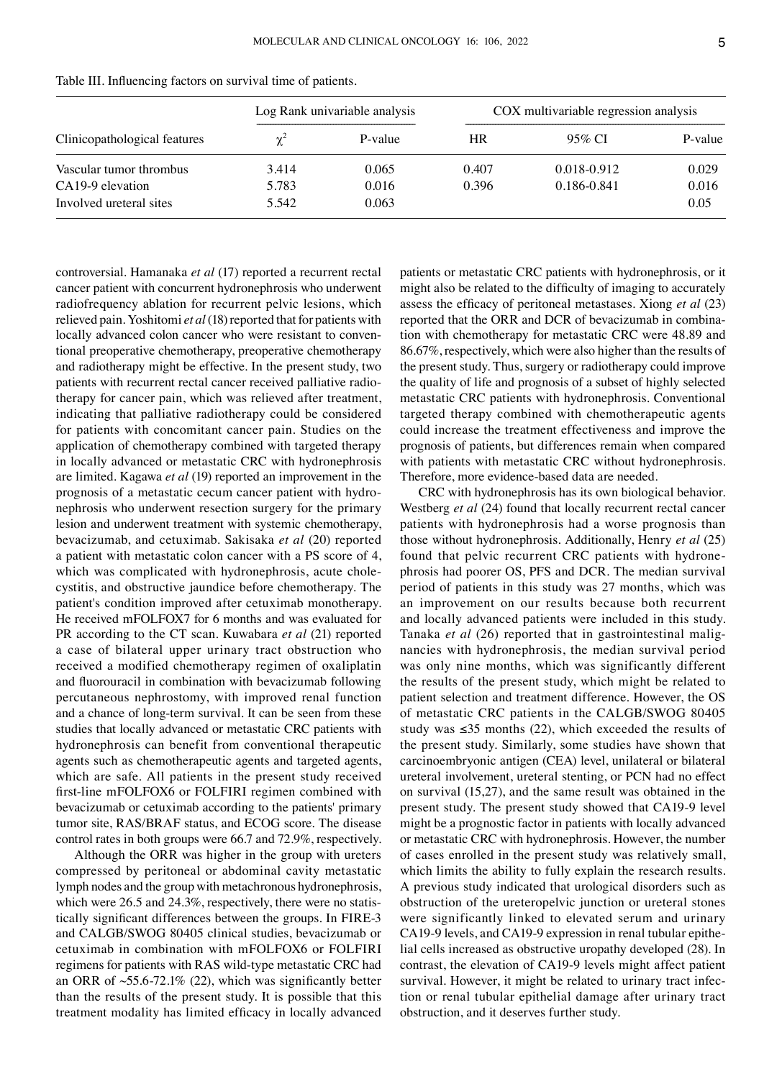| Clinicopathological features |            | Log Rank univariable analysis | COX multivariable regression analysis |             |         |
|------------------------------|------------|-------------------------------|---------------------------------------|-------------|---------|
|                              | $\gamma^2$ | P-value                       | HR                                    | 95% CI      | P-value |
| Vascular tumor thrombus      | 3.414      | 0.065                         | 0.407                                 | 0.018-0.912 | 0.029   |
| CA19-9 elevation             | 5.783      | 0.016                         | 0.396                                 | 0.186-0.841 | 0.016   |
| Involved ureteral sites      | 5.542      | 0.063                         |                                       |             | 0.05    |

Table III. Influencing factors on survival time of patients.

controversial. Hamanaka *et al* (17) reported a recurrent rectal

cancer patient with concurrent hydronephrosis who underwent radiofrequency ablation for recurrent pelvic lesions, which relieved pain. Yoshitomi *et al*(18) reported that for patients with locally advanced colon cancer who were resistant to conventional preoperative chemotherapy, preoperative chemotherapy and radiotherapy might be effective. In the present study, two patients with recurrent rectal cancer received palliative radiotherapy for cancer pain, which was relieved after treatment, indicating that palliative radiotherapy could be considered for patients with concomitant cancer pain. Studies on the application of chemotherapy combined with targeted therapy in locally advanced or metastatic CRC with hydronephrosis are limited. Kagawa *et al* (19) reported an improvement in the prognosis of a metastatic cecum cancer patient with hydronephrosis who underwent resection surgery for the primary lesion and underwent treatment with systemic chemotherapy, bevacizumab, and cetuximab. Sakisaka *et al* (20) reported a patient with metastatic colon cancer with a PS score of 4, which was complicated with hydronephrosis, acute cholecystitis, and obstructive jaundice before chemotherapy. The patient's condition improved after cetuximab monotherapy. He received mFOLFOX7 for 6 months and was evaluated for PR according to the CT scan. Kuwabara *et al* (21) reported a case of bilateral upper urinary tract obstruction who received a modified chemotherapy regimen of oxaliplatin and fluorouracil in combination with bevacizumab following percutaneous nephrostomy, with improved renal function and a chance of long‑term survival. It can be seen from these studies that locally advanced or metastatic CRC patients with hydronephrosis can benefit from conventional therapeutic agents such as chemotherapeutic agents and targeted agents, which are safe. All patients in the present study received first-line mFOLFOX6 or FOLFIRI regimen combined with bevacizumab or cetuximab according to the patients' primary tumor site, RAS/BRAF status, and ECOG score. The disease control rates in both groups were 66.7 and 72.9%, respectively.

Although the ORR was higher in the group with ureters compressed by peritoneal or abdominal cavity metastatic lymph nodes and the group with metachronous hydronephrosis, which were 26.5 and 24.3%, respectively, there were no statistically significant differences between the groups. In FIRE‑3 and CALGB/SWOG 80405 clinical studies, bevacizumab or cetuximab in combination with mFOLFOX6 or FOLFIRI regimens for patients with RAS wild‑type metastatic CRC had an ORR of  $\sim$ 55.6-72.1% (22), which was significantly better than the results of the present study. It is possible that this treatment modality has limited efficacy in locally advanced

patients or metastatic CRC patients with hydronephrosis, or it might also be related to the difficulty of imaging to accurately assess the efficacy of peritoneal metastases. Xiong *et al* (23) reported that the ORR and DCR of bevacizumab in combination with chemotherapy for metastatic CRC were 48.89 and 86.67%, respectively, which were also higher than the results of the present study. Thus, surgery or radiotherapy could improve the quality of life and prognosis of a subset of highly selected metastatic CRC patients with hydronephrosis. Conventional targeted therapy combined with chemotherapeutic agents could increase the treatment effectiveness and improve the prognosis of patients, but differences remain when compared with patients with metastatic CRC without hydronephrosis. Therefore, more evidence-based data are needed.

CRC with hydronephrosis has its own biological behavior. Westberg *et al* (24) found that locally recurrent rectal cancer patients with hydronephrosis had a worse prognosis than those without hydronephrosis. Additionally, Henry *et al* (25) found that pelvic recurrent CRC patients with hydronephrosis had poorer OS, PFS and DCR. The median survival period of patients in this study was 27 months, which was an improvement on our results because both recurrent and locally advanced patients were included in this study. Tanaka *et al* (26) reported that in gastrointestinal malignancies with hydronephrosis, the median survival period was only nine months, which was significantly different the results of the present study, which might be related to patient selection and treatment difference. However, the OS of metastatic CRC patients in the CALGB/SWOG 80405 study was  $\leq$ 35 months (22), which exceeded the results of the present study. Similarly, some studies have shown that carcinoembryonic antigen (CEA) level, unilateral or bilateral ureteral involvement, ureteral stenting, or PCN had no effect on survival (15,27), and the same result was obtained in the present study. The present study showed that CA19‑9 level might be a prognostic factor in patients with locally advanced or metastatic CRC with hydronephrosis. However, the number of cases enrolled in the present study was relatively small, which limits the ability to fully explain the research results. A previous study indicated that urological disorders such as obstruction of the ureteropelvic junction or ureteral stones were significantly linked to elevated serum and urinary CA19-9 levels, and CA19-9 expression in renal tubular epithe– lial cells increased as obstructive uropathy developed (28). In contrast, the elevation of CA19‑9 levels might affect patient survival. However, it might be related to urinary tract infection or renal tubular epithelial damage after urinary tract obstruction, and it deserves further study.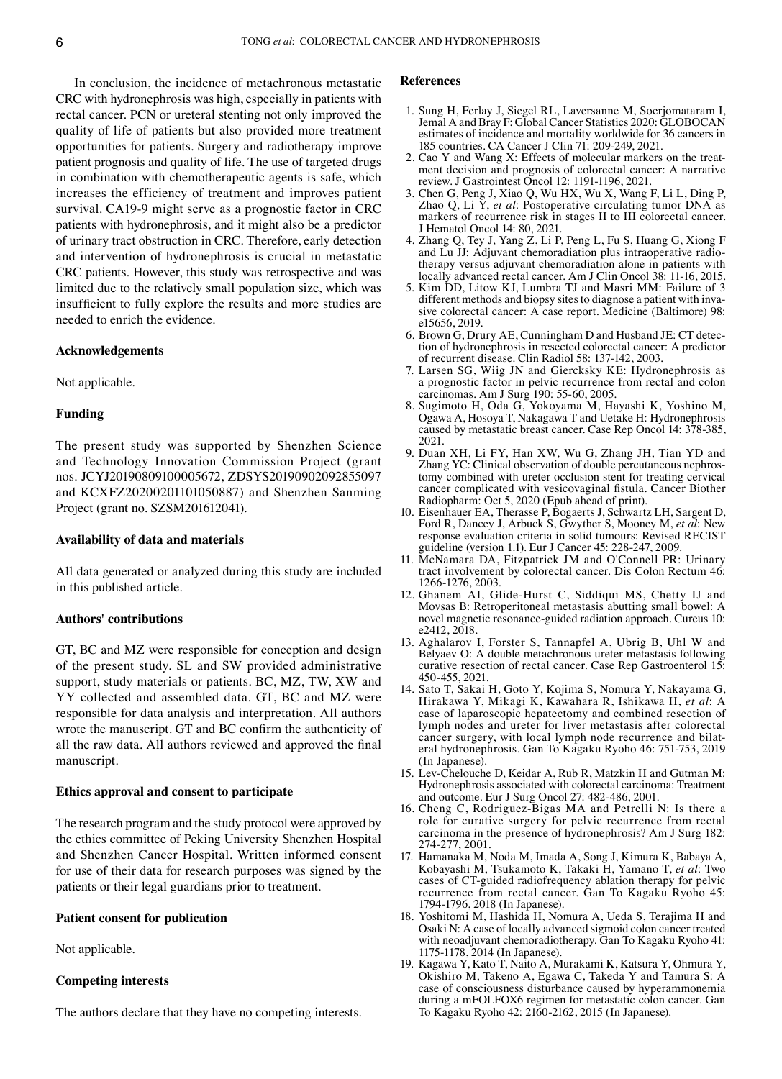In conclusion, the incidence of metachronous metastatic CRC with hydronephrosis was high, especially in patients with rectal cancer. PCN or ureteral stenting not only improved the quality of life of patients but also provided more treatment opportunities for patients. Surgery and radiotherapy improve patient prognosis and quality of life. The use of targeted drugs in combination with chemotherapeutic agents is safe, which increases the efficiency of treatment and improves patient survival. CA19‑9 might serve as a prognostic factor in CRC patients with hydronephrosis, and it might also be a predictor of urinary tract obstruction in CRC. Therefore, early detection and intervention of hydronephrosis is crucial in metastatic CRC patients. However, this study was retrospective and was limited due to the relatively small population size, which was insufficient to fully explore the results and more studies are needed to enrich the evidence.

## **Acknowledgements**

Not applicable.

# **Funding**

The present study was supported by Shenzhen Science and Technology Innovation Commission Project (grant nos. JCYJ20190809100005672, ZDSYS20190902092855097 and KCXFZ20200201101050887) and Shenzhen Sanming Project (grant no. SZSM201612041).

# **Availability of data and materials**

All data generated or analyzed during this study are included in this published article.

## **Authors' contributions**

GT, BC and MZ were responsible for conception and design of the present study. SL and SW provided administrative support, study materials or patients. BC, MZ, TW, XW and YY collected and assembled data. GT, BC and MZ were responsible for data analysis and interpretation. All authors wrote the manuscript. GT and BC confirm the authenticity of all the raw data. All authors reviewed and approved the final manuscript.

# **Ethics approval and consent to participate**

The research program and the study protocol were approved by the ethics committee of Peking University Shenzhen Hospital and Shenzhen Cancer Hospital. Written informed consent for use of their data for research purposes was signed by the patients or their legal guardians prior to treatment.

# **Patient consent for publication**

Not applicable.

# **Competing interests**

The authors declare that they have no competing interests.

#### **References**

- 1. Sung H, Ferlay J, Siegel RL, Laversanne M, Soerjomataram I, Jemal A and Bray F: Global Cancer Statistics 2020: GLOBOCAN estimates of incidence and mortality worldwide for 36 cancers in 185 countries. CA Cancer J Clin 71: 209‑249, 2021.
- 2. Cao Y and Wang X: Effects of molecular markers on the treatment decision and prognosis of colorectal cancer: A narrative review. J Gastrointest Oncol 12: 1191‑1196, 2021.
- 3. Chen G, Peng J, Xiao Q, Wu HX, Wu X, Wang F, Li L, Ding P, Zhao Q, Li Y, *et al*: Postoperative circulating tumor DNA as markers of recurrence risk in stages II to III colorectal cancer. J Hematol Oncol 14: 80, 2021.
- 4. Zhang Q, Tey J, Yang Z, Li P, Peng L, Fu S, Huang G, Xiong F and Lu JJ: Adjuvant chemoradiation plus intraoperative radiotherapy versus adjuvant chemoradiation alone in patients with locally advanced rectal cancer. Am J Clin Oncol 38: 11‑16, 2015.
- 5. Kim DD, Litow KJ, Lumbra TJ and Masri MM: Failure of 3 different methods and biopsy sites to diagnose a patient with invasive colorectal cancer: A case report. Medicine (Baltimore) 98: e15656, 2019.
- 6. Brown G, Drury AE, Cunningham D and Husband JE: CT detec‑ tion of hydronephrosis in resected colorectal cancer: A predictor of recurrent disease. Clin Radiol 58: 137‑142, 2003.
- 7. Larsen SG, Wiig JN and Giercksky KE: Hydronephrosis as a prognostic factor in pelvic recurrence from rectal and colon carcinomas. Am J Surg 190: 55‑60, 2005.
- 8. Sugimoto H, Oda G, Yokoyama M, Hayashi K, Yoshino M, Ogawa A, Hosoya T, Nakagawa T and Uetake H: Hydronephrosis caused by metastatic breast cancer. Case Rep Oncol 14: 378‑385, 2021.
- 9. Duan XH, Li FY, Han XW, Wu G, Zhang JH, Tian YD and Zhang YC: Clinical observation of double percutaneous nephrostomy combined with ureter occlusion stent for treating cervical cancer complicated with vesicovaginal fistula. Cancer Biother Radiopharm: Oct 5, 2020 (Epub ahead of print).
- 10. Eisenhauer EA, Therasse P, Bogaerts J, Schwartz LH, Sargent D, Ford R, Dancey J, Arbuck S, Gwyther S, Mooney M, *et al*: New response evaluation criteria in solid tumours: Revised RECIST guideline (version 1.1). Eur J Cancer 45: 228‑247, 2009.
- 11. McNamara DA, Fitzpatrick JM and O'Connell PR: Urinary tract involvement by colorectal cancer. Dis Colon Rectum 46: 1266‑1276, 2003.
- 12. Ghanem AI, Glide-Hurst C, Siddiqui MS, Chetty IJ and Movsas B: Retroperitoneal metastasis abutting small bowel: A novel magnetic resonance‑guided radiation approach. Cureus 10: e2412, 2018.
- 13. Aghalarov I, Forster S, Tannapfel A, Ubrig B, Uhl W and Belyaev O: A double metachronous ureter metastasis following curative resection of rectal cancer. Case Rep Gastroenterol 15: 450‑455, 2021.
- 14. Sato T, Sakai H, Goto Y, Kojima S, Nomura Y, Nakayama G, Hirakawa Y, Mikagi K, Kawahara R, Ishikawa H, *et al*: A case of laparoscopic hepatectomy and combined resection of lymph nodes and ureter for liver metastasis after colorectal cancer surgery, with local lymph node recurrence and bilateral hydronephrosis. Gan To Kagaku Ryoho 46: 751‑753, 2019 (In Japanese).
- 15. Lev‑Chelouche D, Keidar A, Rub R, Matzkin H and Gutman M: Hydronephrosis associated with colorectal carcinoma: Treatment and outcome. Eur J Surg Oncol 27: 482‑486, 2001.
- 16. Cheng C, Rodriguez‑Bigas MA and Petrelli N: Is there a role for curative surgery for pelvic recurrence from rectal carcinoma in the presence of hydronephrosis? Am J Surg 182: 274‑277, 2001.
- 17. Hamanaka M, Noda M, Imada A, Song J, Kimura K, Babaya A, Kobayashi M, Tsukamoto K, Takaki H, Yamano T, *et al*: Two cases of CT‑guided radiofrequency ablation therapy for pelvic recurrence from rectal cancer. Gan To Kagaku Ryoho 45: 1794‑1796, 2018 (In Japanese).
- 18. Yoshitomi M, Hashida H, Nomura A, Ueda S, Terajima H and Osaki N: A case of locally advanced sigmoid colon cancer treated with neoadjuvant chemoradiotherapy. Gan To Kagaku Ryoho 41: 1175‑1178, 2014 (In Japanese).
- 19. Kagawa Y, Kato T, Naito A, Murakami K, Katsura Y, Ohmura Y, Okishiro M, Takeno A, Egawa C, Takeda Y and Tamura S: A case of consciousness disturbance caused by hyperammonemia during a mFOLFOX6 regimen for metastatic colon cancer. Gan To Kagaku Ryoho 42: 2160‑2162, 2015 (In Japanese).